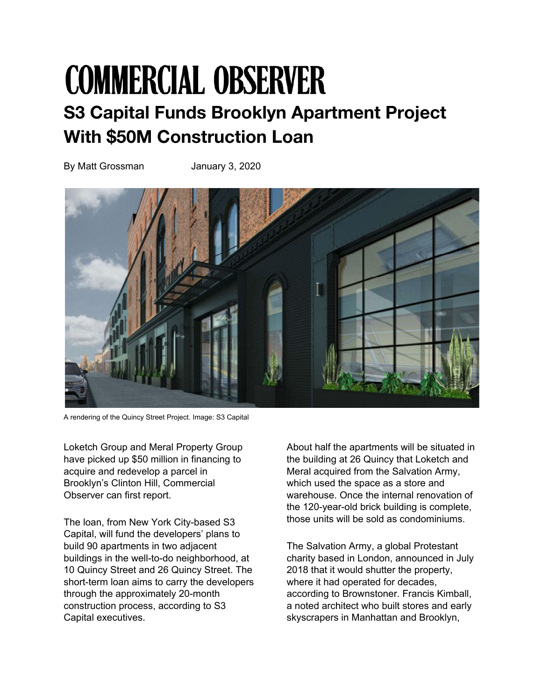## **COMMERCIAL OBSERVER S3 Capital Funds Brooklyn Apartment Project With \$50M Construction Loan**

By Matt Grossman January 3, 2020



A rendering of the Quincy Street Project. Image: S3 Capital

Loketch Group and Meral Property Group have picked up \$50 million in financing to acquire and redevelop a parcel in Brooklyn's Clinton Hill, Commercial Observer can first report.

The loan, from New York City-based S3 Capital, will fund the developers' plans to build 90 apartments in two adjacent buildings in the well-to-do neighborhood, at 10 Quincy Street and 26 Quincy Street. The short-term loan aims to carry the developers through the approximately 20-month construction process, according to S3 Capital executives.

About half the apartments will be situated in the building at 26 Quincy that Loketch and Meral acquired from the Salvation Army, which used the space as a store and warehouse. Once the internal renovation of the 120-year-old brick building is complete, those units will be sold as condominiums.

The Salvation Army, a global Protestant charity based in London, announced in July 2018 that it would shutter the property, where it had operated for decades, according to Brownstoner. Francis Kimball, a noted architect who built stores and early skyscrapers in Manhattan and Brooklyn,